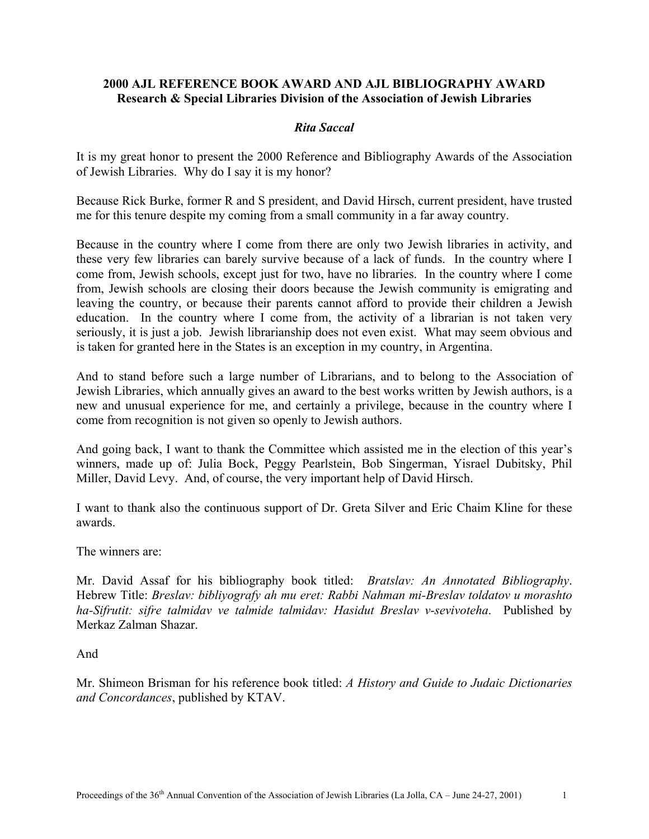### **2000 AJL REFERENCE BOOK AWARD AND AJL BIBLIOGRAPHY AWARD Research & Special Libraries Division of the Association of Jewish Libraries**

### *Rita Saccal*

It is my great honor to present the 2000 Reference and Bibliography Awards of the Association of Jewish Libraries. Why do I say it is my honor?

Because Rick Burke, former R and S president, and David Hirsch, current president, have trusted me for this tenure despite my coming from a small community in a far away country.

Because in the country where I come from there are only two Jewish libraries in activity, and these very few libraries can barely survive because of a lack of funds. In the country where I come from, Jewish schools, except just for two, have no libraries. In the country where I come from, Jewish schools are closing their doors because the Jewish community is emigrating and leaving the country, or because their parents cannot afford to provide their children a Jewish education. In the country where I come from, the activity of a librarian is not taken very seriously, it is just a job. Jewish librarianship does not even exist. What may seem obvious and is taken for granted here in the States is an exception in my country, in Argentina.

And to stand before such a large number of Librarians, and to belong to the Association of Jewish Libraries, which annually gives an award to the best works written by Jewish authors, is a new and unusual experience for me, and certainly a privilege, because in the country where I come from recognition is not given so openly to Jewish authors.

And going back, I want to thank the Committee which assisted me in the election of this year's winners, made up of: Julia Bock, Peggy Pearlstein, Bob Singerman, Yisrael Dubitsky, Phil Miller, David Levy. And, of course, the very important help of David Hirsch.

I want to thank also the continuous support of Dr. Greta Silver and Eric Chaim Kline for these awards.

The winners are:

Mr. David Assaf for his bibliography book titled: *Bratslav: An Annotated Bibliography*. Hebrew Title: *Breslav: bibliyografy ah mu eret: Rabbi Nahman mi-Breslav toldatov u morashto ha-Sifrutit: sifre talmidav ve talmide talmidav: Hasidut Breslav v-sevivoteha*. Published by Merkaz Zalman Shazar.

And

Mr. Shimeon Brisman for his reference book titled: *A History and Guide to Judaic Dictionaries and Concordances*, published by KTAV.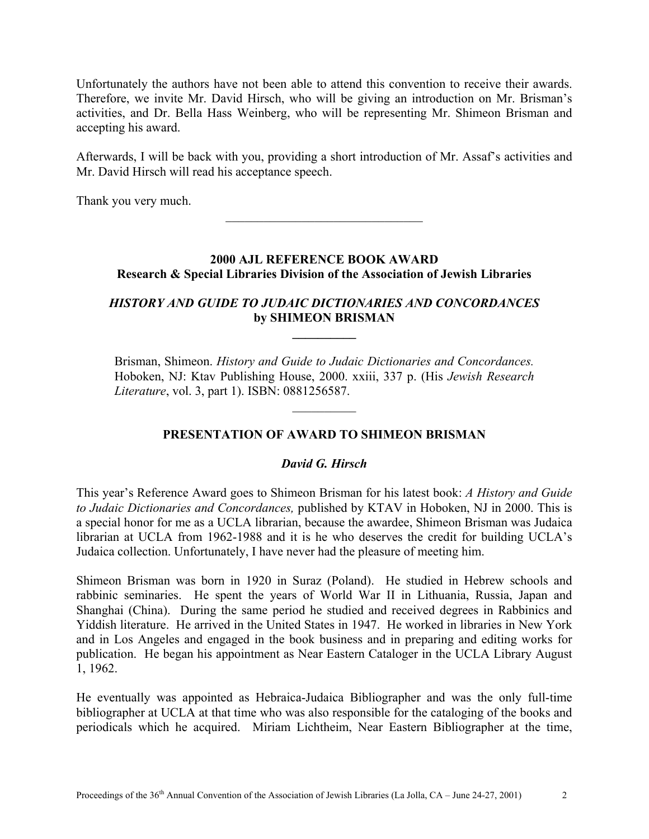Unfortunately the authors have not been able to attend this convention to receive their awards. Therefore, we invite Mr. David Hirsch, who will be giving an introduction on Mr. Brisman's activities, and Dr. Bella Hass Weinberg, who will be representing Mr. Shimeon Brisman and accepting his award.

Afterwards, I will be back with you, providing a short introduction of Mr. Assaf's activities and Mr. David Hirsch will read his acceptance speech.

Thank you very much.

## **2000 AJL REFERENCE BOOK AWARD Research & Special Libraries Division of the Association of Jewish Libraries**

 $\mathcal{L}_\text{max}$ 

# *HISTORY AND GUIDE TO JUDAIC DICTIONARIES AND CONCORDANCES*  **by SHIMEON BRISMAN**

**\_\_\_\_\_\_\_\_\_\_** 

Brisman, Shimeon. *History and Guide to Judaic Dictionaries and Concordances.*  Hoboken, NJ: Ktav Publishing House, 2000. xxiii, 337 p. (His *Jewish Research Literature*, vol. 3, part 1). ISBN: 0881256587.

 $\frac{1}{2}$ 

# **PRESENTATION OF AWARD TO SHIMEON BRISMAN**

# *David G. Hirsch*

This year's Reference Award goes to Shimeon Brisman for his latest book: *A History and Guide to Judaic Dictionaries and Concordances,* published by KTAV in Hoboken, NJ in 2000. This is a special honor for me as a UCLA librarian, because the awardee, Shimeon Brisman was Judaica librarian at UCLA from 1962-1988 and it is he who deserves the credit for building UCLA's Judaica collection. Unfortunately, I have never had the pleasure of meeting him.

Shimeon Brisman was born in 1920 in Suraz (Poland). He studied in Hebrew schools and rabbinic seminaries. He spent the years of World War II in Lithuania, Russia, Japan and Shanghai (China). During the same period he studied and received degrees in Rabbinics and Yiddish literature. He arrived in the United States in 1947. He worked in libraries in New York and in Los Angeles and engaged in the book business and in preparing and editing works for publication. He began his appointment as Near Eastern Cataloger in the UCLA Library August 1, 1962.

He eventually was appointed as Hebraica-Judaica Bibliographer and was the only full-time bibliographer at UCLA at that time who was also responsible for the cataloging of the books and periodicals which he acquired. Miriam Lichtheim, Near Eastern Bibliographer at the time,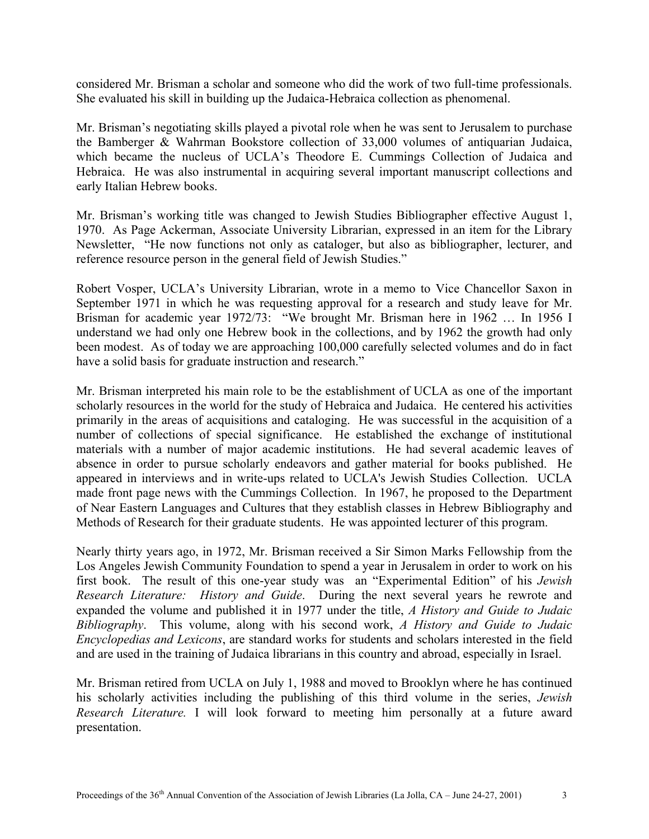considered Mr. Brisman a scholar and someone who did the work of two full-time professionals. She evaluated his skill in building up the Judaica-Hebraica collection as phenomenal.

Mr. Brisman's negotiating skills played a pivotal role when he was sent to Jerusalem to purchase the Bamberger & Wahrman Bookstore collection of 33,000 volumes of antiquarian Judaica, which became the nucleus of UCLA's Theodore E. Cummings Collection of Judaica and Hebraica. He was also instrumental in acquiring several important manuscript collections and early Italian Hebrew books.

Mr. Brisman's working title was changed to Jewish Studies Bibliographer effective August 1, 1970. As Page Ackerman, Associate University Librarian, expressed in an item for the Library Newsletter, "He now functions not only as cataloger, but also as bibliographer, lecturer, and reference resource person in the general field of Jewish Studies."

Robert Vosper, UCLA's University Librarian, wrote in a memo to Vice Chancellor Saxon in September 1971 in which he was requesting approval for a research and study leave for Mr. Brisman for academic year 1972/73: "We brought Mr. Brisman here in 1962 … In 1956 I understand we had only one Hebrew book in the collections, and by 1962 the growth had only been modest. As of today we are approaching 100,000 carefully selected volumes and do in fact have a solid basis for graduate instruction and research."

Mr. Brisman interpreted his main role to be the establishment of UCLA as one of the important scholarly resources in the world for the study of Hebraica and Judaica. He centered his activities primarily in the areas of acquisitions and cataloging. He was successful in the acquisition of a number of collections of special significance. He established the exchange of institutional materials with a number of major academic institutions. He had several academic leaves of absence in order to pursue scholarly endeavors and gather material for books published. He appeared in interviews and in write-ups related to UCLA's Jewish Studies Collection. UCLA made front page news with the Cummings Collection. In 1967, he proposed to the Department of Near Eastern Languages and Cultures that they establish classes in Hebrew Bibliography and Methods of Research for their graduate students. He was appointed lecturer of this program.

Nearly thirty years ago, in 1972, Mr. Brisman received a Sir Simon Marks Fellowship from the Los Angeles Jewish Community Foundation to spend a year in Jerusalem in order to work on his first book. The result of this one-year study was an "Experimental Edition" of his *Jewish Research Literature: History and Guide*. During the next several years he rewrote and expanded the volume and published it in 1977 under the title, *A History and Guide to Judaic Bibliography*. This volume, along with his second work, *A History and Guide to Judaic Encyclopedias and Lexicons*, are standard works for students and scholars interested in the field and are used in the training of Judaica librarians in this country and abroad, especially in Israel.

Mr. Brisman retired from UCLA on July 1, 1988 and moved to Brooklyn where he has continued his scholarly activities including the publishing of this third volume in the series, *Jewish Research Literature.* I will look forward to meeting him personally at a future award presentation.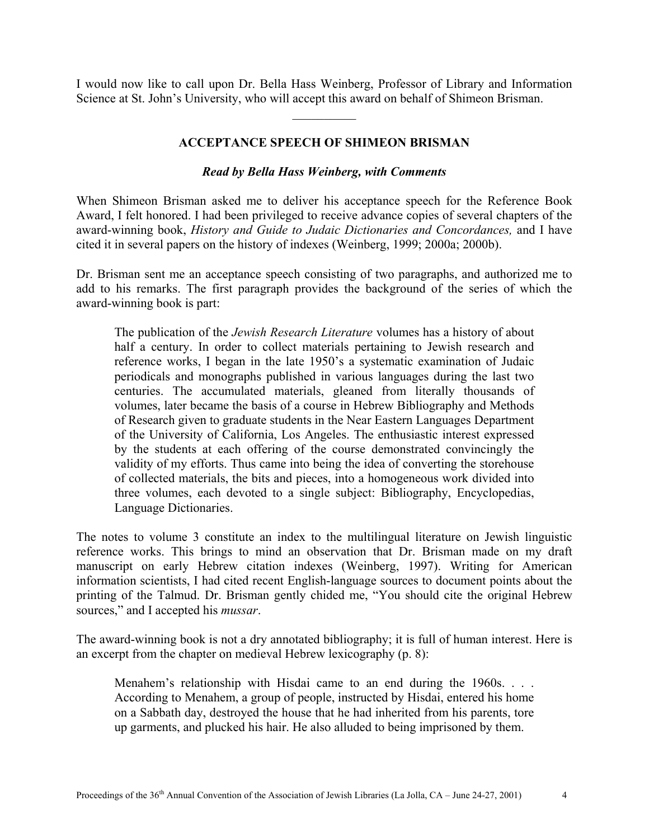I would now like to call upon Dr. Bella Hass Weinberg, Professor of Library and Information Science at St. John's University, who will accept this award on behalf of Shimeon Brisman.

 $\frac{1}{2}$ 

# **ACCEPTANCE SPEECH OF SHIMEON BRISMAN**

#### *Read by Bella Hass Weinberg, with Comments*

When Shimeon Brisman asked me to deliver his acceptance speech for the Reference Book Award, I felt honored. I had been privileged to receive advance copies of several chapters of the award-winning book, *History and Guide to Judaic Dictionaries and Concordances,* and I have cited it in several papers on the history of indexes (Weinberg, 1999; 2000a; 2000b).

Dr. Brisman sent me an acceptance speech consisting of two paragraphs, and authorized me to add to his remarks. The first paragraph provides the background of the series of which the award-winning book is part:

The publication of the *Jewish Research Literature* volumes has a history of about half a century. In order to collect materials pertaining to Jewish research and reference works, I began in the late 1950's a systematic examination of Judaic periodicals and monographs published in various languages during the last two centuries. The accumulated materials, gleaned from literally thousands of volumes, later became the basis of a course in Hebrew Bibliography and Methods of Research given to graduate students in the Near Eastern Languages Department of the University of California, Los Angeles. The enthusiastic interest expressed by the students at each offering of the course demonstrated convincingly the validity of my efforts. Thus came into being the idea of converting the storehouse of collected materials, the bits and pieces, into a homogeneous work divided into three volumes, each devoted to a single subject: Bibliography, Encyclopedias, Language Dictionaries.

The notes to volume 3 constitute an index to the multilingual literature on Jewish linguistic reference works. This brings to mind an observation that Dr. Brisman made on my draft manuscript on early Hebrew citation indexes (Weinberg, 1997). Writing for American information scientists, I had cited recent English-language sources to document points about the printing of the Talmud. Dr. Brisman gently chided me, "You should cite the original Hebrew sources," and I accepted his *mussar*.

The award-winning book is not a dry annotated bibliography; it is full of human interest. Here is an excerpt from the chapter on medieval Hebrew lexicography (p. 8):

Menahem's relationship with Hisdai came to an end during the 1960s. . . . According to Menahem, a group of people, instructed by Hisdai, entered his home on a Sabbath day, destroyed the house that he had inherited from his parents, tore up garments, and plucked his hair. He also alluded to being imprisoned by them.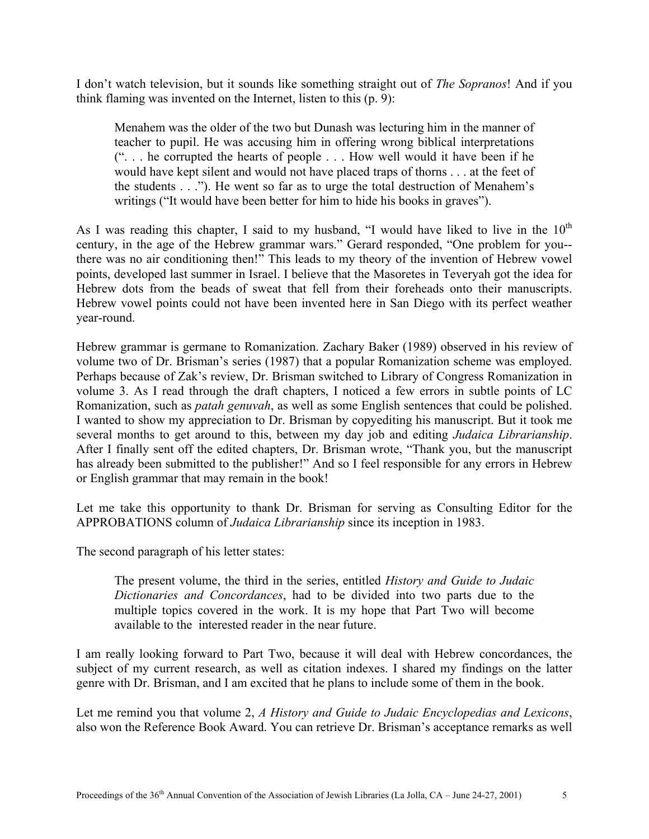I don't watch television, but it sounds like something straight out of *The Sopranos*! And if you think flaming was invented on the Internet, listen to this (p. 9):

Menahem was the older of the two but Dunash was lecturing him in the manner of teacher to pupil. He was accusing him in offering wrong biblical interpretations (". . . he corrupted the hearts of people . . . How well would it have been if he would have kept silent and would not have placed traps of thorns . . . at the feet of the students . . ."). He went so far as to urge the total destruction of Menahem's writings ("It would have been better for him to hide his books in graves").

As I was reading this chapter, I said to my husband, "I would have liked to live in the  $10<sup>th</sup>$ century, in the age of the Hebrew grammar wars." Gerard responded, "One problem for you- there was no air conditioning then!" This leads to my theory of the invention of Hebrew vowel points, developed last summer in Israel. I believe that the Masoretes in Teveryah got the idea for Hebrew dots from the beads of sweat that fell from their foreheads onto their manuscripts. Hebrew vowel points could not have been invented here in San Diego with its perfect weather year-round.

Hebrew grammar is germane to Romanization. Zachary Baker (1989) observed in his review of volume two of Dr. Brisman's series (1987) that a popular Romanization scheme was employed. Perhaps because of Zak's review, Dr. Brisman switched to Library of Congress Romanization in volume 3. As I read through the draft chapters, I noticed a few errors in subtle points of LC Romanization, such as *patah genuvah*, as well as some English sentences that could be polished. I wanted to show my appreciation to Dr. Brisman by copyediting his manuscript. But it took me several months to get around to this, between my day job and editing *Judaica Librarianship*. After I finally sent off the edited chapters, Dr. Brisman wrote, "Thank you, but the manuscript has already been submitted to the publisher!" And so I feel responsible for any errors in Hebrew or English grammar that may remain in the book!

Let me take this opportunity to thank Dr. Brisman for serving as Consulting Editor for the APPROBATIONS column of *Judaica Librarianship* since its inception in 1983.

The second paragraph of his letter states:

The present volume, the third in the series, entitled *History and Guide to Judaic Dictionaries and Concordances*, had to be divided into two parts due to the multiple topics covered in the work. It is my hope that Part Two will become available to the interested reader in the near future.

I am really looking forward to Part Two, because it will deal with Hebrew concordances, the subject of my current research, as well as citation indexes. I shared my findings on the latter genre with Dr. Brisman, and I am excited that he plans to include some of them in the book.

Let me remind you that volume 2, *A History and Guide to Judaic Encyclopedias and Lexicons*, also won the Reference Book Award. You can retrieve Dr. Brisman's acceptance remarks as well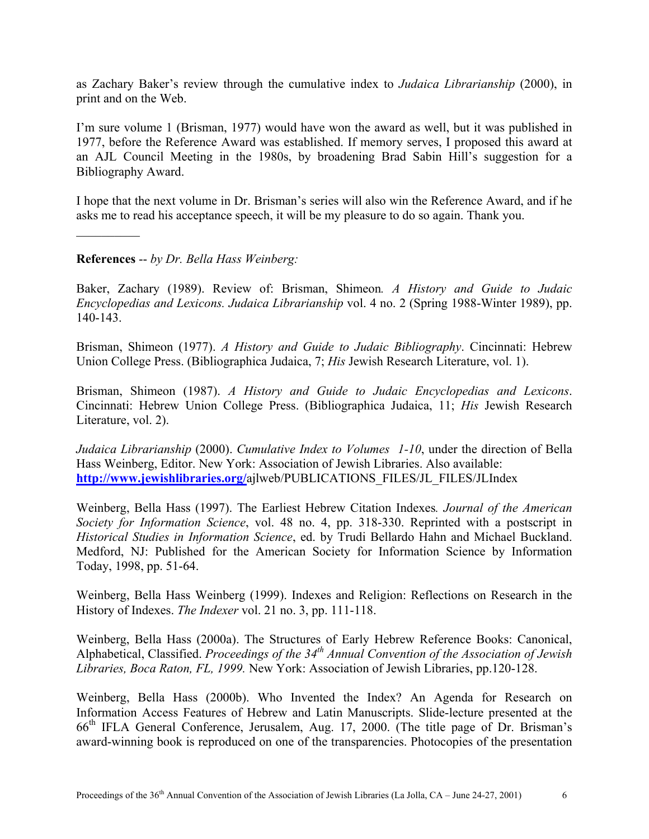as Zachary Baker's review through the cumulative index to *Judaica Librarianship* (2000), in print and on the Web.

I'm sure volume 1 (Brisman, 1977) would have won the award as well, but it was published in 1977, before the Reference Award was established. If memory serves, I proposed this award at an AJL Council Meeting in the 1980s, by broadening Brad Sabin Hill's suggestion for a Bibliography Award.

I hope that the next volume in Dr. Brisman's series will also win the Reference Award, and if he asks me to read his acceptance speech, it will be my pleasure to do so again. Thank you.

**References** -- *by Dr. Bella Hass Weinberg:* 

 $\frac{1}{2}$ 

Baker, Zachary (1989). Review of: Brisman, Shimeon*. A History and Guide to Judaic Encyclopedias and Lexicons. Judaica Librarianship* vol. 4 no. 2 (Spring 1988-Winter 1989), pp. 140-143.

Brisman, Shimeon (1977). *A History and Guide to Judaic Bibliography*. Cincinnati: Hebrew Union College Press. (Bibliographica Judaica, 7; *His* Jewish Research Literature, vol. 1).

Brisman, Shimeon (1987). *A History and Guide to Judaic Encyclopedias and Lexicons*. Cincinnati: Hebrew Union College Press. (Bibliographica Judaica, 11; *His* Jewish Research Literature, vol. 2).

*Judaica Librarianship* (2000). *Cumulative Index to Volumes 1-10*, under the direction of Bella Hass Weinberg, Editor. New York: Association of Jewish Libraries. Also available: **http://www.jewishlibraries.org/**ajlweb/PUBLICATIONS\_FILES/JL\_FILES/JLIndex

Weinberg, Bella Hass (1997). The Earliest Hebrew Citation Indexes*. Journal of the American Society for Information Science*, vol. 48 no. 4, pp. 318-330. Reprinted with a postscript in *Historical Studies in Information Science*, ed. by Trudi Bellardo Hahn and Michael Buckland. Medford, NJ: Published for the American Society for Information Science by Information Today, 1998, pp. 51-64.

Weinberg, Bella Hass Weinberg (1999). Indexes and Religion: Reflections on Research in the History of Indexes. *The Indexer* vol. 21 no. 3, pp. 111-118.

Weinberg, Bella Hass (2000a). The Structures of Early Hebrew Reference Books: Canonical, Alphabetical, Classified. *Proceedings of the 34th Annual Convention of the Association of Jewish Libraries, Boca Raton, FL, 1999.* New York: Association of Jewish Libraries, pp.120-128.

Weinberg, Bella Hass (2000b). Who Invented the Index? An Agenda for Research on Information Access Features of Hebrew and Latin Manuscripts. Slide-lecture presented at the 66th IFLA General Conference, Jerusalem, Aug. 17, 2000. (The title page of Dr. Brisman's award-winning book is reproduced on one of the transparencies. Photocopies of the presentation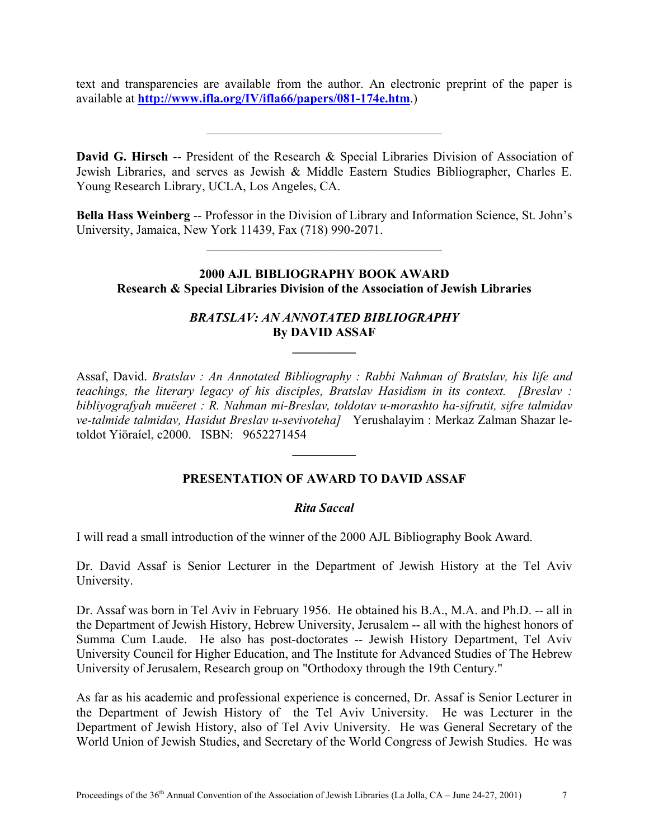text and transparencies are available from the author. An electronic preprint of the paper is available at **http://www.ifla.org/IV/ifla66/papers/081-174e.htm**.)

 $\mathcal{L}_\text{max}$  and  $\mathcal{L}_\text{max}$  and  $\mathcal{L}_\text{max}$  and  $\mathcal{L}_\text{max}$ 

**David G. Hirsch** -- President of the Research & Special Libraries Division of Association of Jewish Libraries, and serves as Jewish & Middle Eastern Studies Bibliographer, Charles E. Young Research Library, UCLA, Los Angeles, CA.

**Bella Hass Weinberg** -- Professor in the Division of Library and Information Science, St. John's University, Jamaica, New York 11439, Fax (718) 990-2071.

 $\mathcal{L}_\text{max}$  and  $\mathcal{L}_\text{max}$  and  $\mathcal{L}_\text{max}$  and  $\mathcal{L}_\text{max}$ 

## **2000 AJL BIBLIOGRAPHY BOOK AWARD Research & Special Libraries Division of the Association of Jewish Libraries**

### *BRATSLAV: AN ANNOTATED BIBLIOGRAPHY*  **By DAVID ASSAF**

**\_\_\_\_\_\_\_\_\_\_** 

Assaf, David. *Bratslav : An Annotated Bibliography : Rabbi Nahman of Bratslav, his life and teachings, the literary legacy of his disciples, Bratslav Hasidism in its context. [Breslav : bibliyografyah muëeret : R. Nahman mi-Breslav, toldotav u-morashto ha-sifrutit, sifre talmidav ve-talmide talmidav, Hasidut Breslav u-sevivoteha]* Yerushalayim : Merkaz Zalman Shazar letoldot Yiöraíel, c2000. ISBN: 9652271454

#### **PRESENTATION OF AWARD TO DAVID ASSAF**

 $\frac{1}{2}$ 

#### *Rita Saccal*

I will read a small introduction of the winner of the 2000 AJL Bibliography Book Award.

Dr. David Assaf is Senior Lecturer in the Department of Jewish History at the Tel Aviv University.

Dr. Assaf was born in Tel Aviv in February 1956. He obtained his B.A., M.A. and Ph.D. -- all in the Department of Jewish History, Hebrew University, Jerusalem -- all with the highest honors of Summa Cum Laude. He also has post-doctorates -- Jewish History Department, Tel Aviv University Council for Higher Education, and The Institute for Advanced Studies of The Hebrew University of Jerusalem, Research group on "Orthodoxy through the 19th Century."

As far as his academic and professional experience is concerned, Dr. Assaf is Senior Lecturer in the Department of Jewish History of the Tel Aviv University. He was Lecturer in the Department of Jewish History, also of Tel Aviv University. He was General Secretary of the World Union of Jewish Studies, and Secretary of the World Congress of Jewish Studies. He was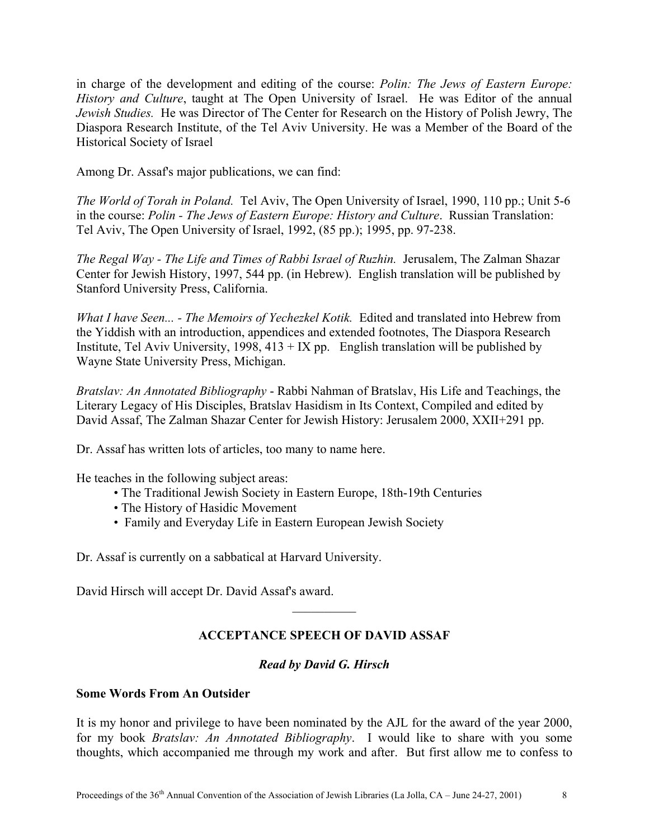in charge of the development and editing of the course: *Polin: The Jews of Eastern Europe: History and Culture*, taught at The Open University of Israel. He was Editor of the annual *Jewish Studies.* He was Director of The Center for Research on the History of Polish Jewry, The Diaspora Research Institute, of the Tel Aviv University. He was a Member of the Board of the Historical Society of Israel

Among Dr. Assaf's major publications, we can find:

*The World of Torah in Poland.* Tel Aviv, The Open University of Israel, 1990, 110 pp.; Unit 5-6 in the course: *Polin - The Jews of Eastern Europe: History and Culture*. Russian Translation: Tel Aviv, The Open University of Israel, 1992, (85 pp.); 1995, pp. 97-238.

*The Regal Way - The Life and Times of Rabbi Israel of Ruzhin.* Jerusalem, The Zalman Shazar Center for Jewish History, 1997, 544 pp. (in Hebrew). English translation will be published by Stanford University Press, California.

*What I have Seen... - The Memoirs of Yechezkel Kotik.* Edited and translated into Hebrew from the Yiddish with an introduction, appendices and extended footnotes, The Diaspora Research Institute, Tel Aviv University,  $1998, 413 + IX$  pp. English translation will be published by Wayne State University Press, Michigan.

*Bratslav: An Annotated Bibliography* - Rabbi Nahman of Bratslav, His Life and Teachings, the Literary Legacy of His Disciples, Bratslav Hasidism in Its Context, Compiled and edited by David Assaf, The Zalman Shazar Center for Jewish History: Jerusalem 2000, XXII+291 pp.

Dr. Assaf has written lots of articles, too many to name here.

He teaches in the following subject areas:

- The Traditional Jewish Society in Eastern Europe, 18th-19th Centuries
- The History of Hasidic Movement
- Family and Everyday Life in Eastern European Jewish Society

Dr. Assaf is currently on a sabbatical at Harvard University.

David Hirsch will accept Dr. David Assaf's award.

# **ACCEPTANCE SPEECH OF DAVID ASSAF**

 $\frac{1}{2}$ 

#### *Read by David G. Hirsch*

### **Some Words From An Outsider**

It is my honor and privilege to have been nominated by the AJL for the award of the year 2000, for my book *Bratslav: An Annotated Bibliography*. I would like to share with you some thoughts, which accompanied me through my work and after. But first allow me to confess to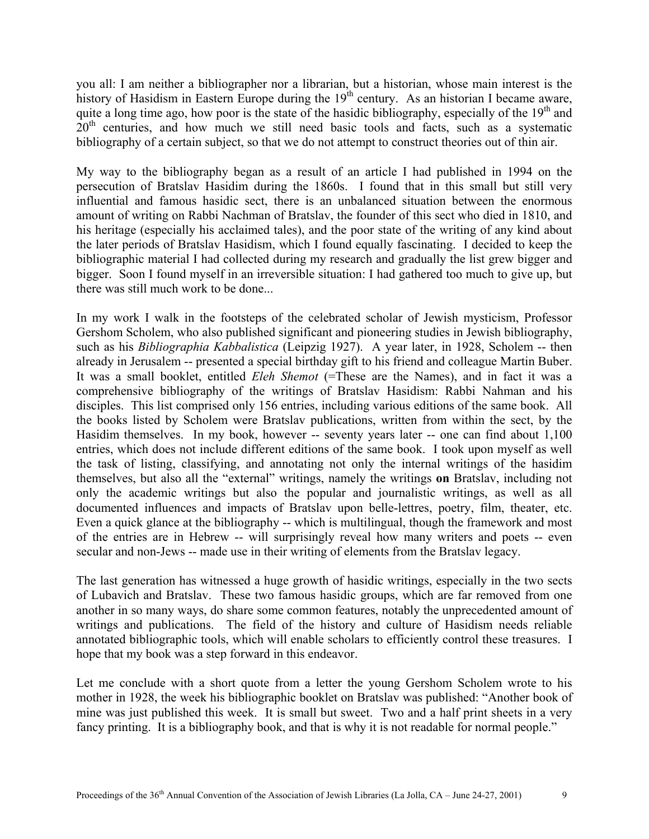you all: I am neither a bibliographer nor a librarian, but a historian, whose main interest is the history of Hasidism in Eastern Europe during the  $19<sup>th</sup>$  century. As an historian I became aware, quite a long time ago, how poor is the state of the hasidic bibliography, especially of the  $19<sup>th</sup>$  and  $20<sup>th</sup>$  centuries, and how much we still need basic tools and facts, such as a systematic bibliography of a certain subject, so that we do not attempt to construct theories out of thin air.

My way to the bibliography began as a result of an article I had published in 1994 on the persecution of Bratslav Hasidim during the 1860s. I found that in this small but still very influential and famous hasidic sect, there is an unbalanced situation between the enormous amount of writing on Rabbi Nachman of Bratslav, the founder of this sect who died in 1810, and his heritage (especially his acclaimed tales), and the poor state of the writing of any kind about the later periods of Bratslav Hasidism, which I found equally fascinating. I decided to keep the bibliographic material I had collected during my research and gradually the list grew bigger and bigger. Soon I found myself in an irreversible situation: I had gathered too much to give up, but there was still much work to be done.

In my work I walk in the footsteps of the celebrated scholar of Jewish mysticism, Professor Gershom Scholem, who also published significant and pioneering studies in Jewish bibliography, such as his *Bibliographia Kabbalistica* (Leipzig 1927). A year later, in 1928, Scholem -- then already in Jerusalem -- presented a special birthday gift to his friend and colleague Martin Buber. It was a small booklet, entitled *Eleh Shemot* (=These are the Names), and in fact it was a comprehensive bibliography of the writings of Bratslav Hasidism: Rabbi Nahman and his disciples. This list comprised only 156 entries, including various editions of the same book. All the books listed by Scholem were Bratslav publications, written from within the sect, by the Hasidim themselves. In my book, however -- seventy years later -- one can find about 1,100 entries, which does not include different editions of the same book. I took upon myself as well the task of listing, classifying, and annotating not only the internal writings of the hasidim themselves, but also all the "external" writings, namely the writings **on** Bratslav, including not only the academic writings but also the popular and journalistic writings, as well as all documented influences and impacts of Bratslav upon belle-lettres, poetry, film, theater, etc. Even a quick glance at the bibliography -- which is multilingual, though the framework and most of the entries are in Hebrew -- will surprisingly reveal how many writers and poets -- even secular and non-Jews -- made use in their writing of elements from the Bratslav legacy.

The last generation has witnessed a huge growth of hasidic writings, especially in the two sects of Lubavich and Bratslav. These two famous hasidic groups, which are far removed from one another in so many ways, do share some common features, notably the unprecedented amount of writings and publications. The field of the history and culture of Hasidism needs reliable annotated bibliographic tools, which will enable scholars to efficiently control these treasures. I hope that my book was a step forward in this endeavor.

Let me conclude with a short quote from a letter the young Gershom Scholem wrote to his mother in 1928, the week his bibliographic booklet on Bratslav was published: "Another book of mine was just published this week. It is small but sweet. Two and a half print sheets in a very fancy printing. It is a bibliography book, and that is why it is not readable for normal people."